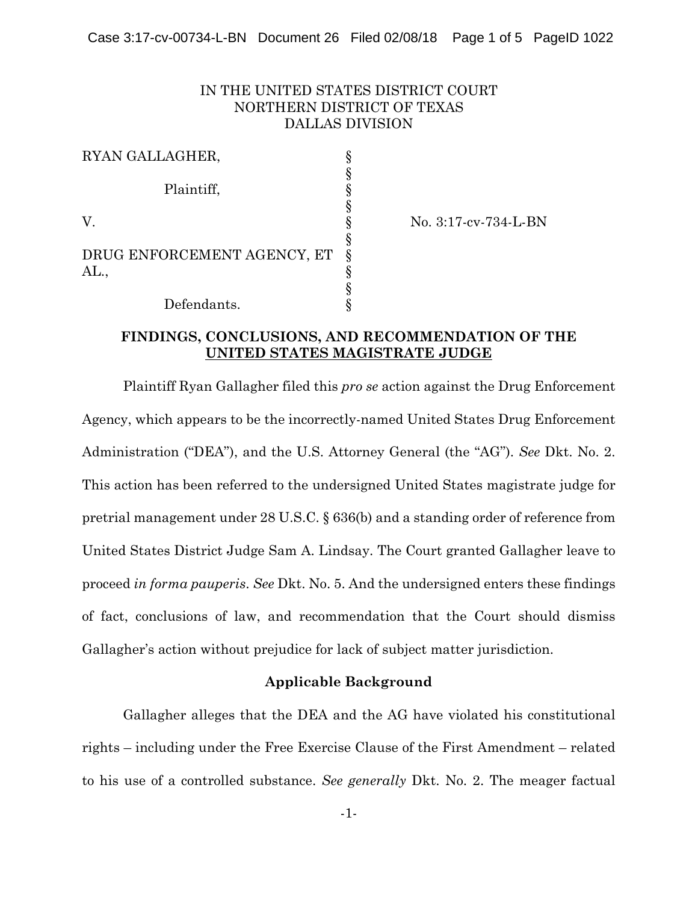# IN THE UNITED STATES DISTRICT COURT NORTHERN DISTRICT OF TEXAS DALLAS DIVISION

| RYAN GALLAGHER,             |  |
|-----------------------------|--|
|                             |  |
| Plaintiff,                  |  |
|                             |  |
| V.                          |  |
|                             |  |
| DRUG ENFORCEMENT AGENCY, ET |  |
| A                           |  |
|                             |  |
| Defendants.                 |  |

V. § No. 3:17-cv-734-L-BN

### **FINDINGS, CONCLUSIONS, AND RECOMMENDATION OF THE UNITED STATES MAGISTRATE JUDGE**

Plaintiff Ryan Gallagher filed this *pro se* action against the Drug Enforcement Agency, which appears to be the incorrectly-named United States Drug Enforcement Administration ("DEA"), and the U.S. Attorney General (the "AG"). *See* Dkt. No. 2. This action has been referred to the undersigned United States magistrate judge for pretrial management under 28 U.S.C. § 636(b) and a standing order of reference from United States District Judge Sam A. Lindsay. The Court granted Gallagher leave to proceed *in forma pauperis*. *See* Dkt. No. 5. And the undersigned enters these findings of fact, conclusions of law, and recommendation that the Court should dismiss Gallagher's action without prejudice for lack of subject matter jurisdiction.

### **Applicable Background**

Gallagher alleges that the DEA and the AG have violated his constitutional rights – including under the Free Exercise Clause of the First Amendment – related to his use of a controlled substance. *See generally* Dkt. No. 2. The meager factual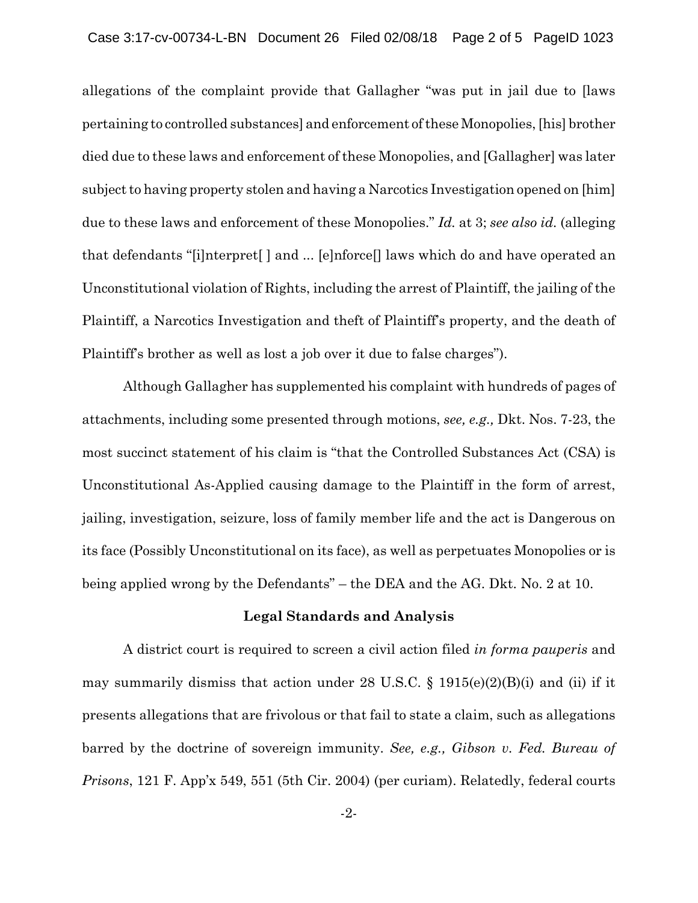allegations of the complaint provide that Gallagher "was put in jail due to [laws pertaining to controlled substances] and enforcement of these Monopolies, [his] brother died due to these laws and enforcement of these Monopolies, and [Gallagher] was later subject to having property stolen and having a Narcotics Investigation opened on [him] due to these laws and enforcement of these Monopolies." *Id.* at 3; *see also id.* (alleging that defendants "[i]nterpret[ ] and ... [e]nforce[] laws which do and have operated an Unconstitutional violation of Rights, including the arrest of Plaintiff, the jailing of the Plaintiff, a Narcotics Investigation and theft of Plaintiff's property, and the death of Plaintiff's brother as well as lost a job over it due to false charges").

Although Gallagher has supplemented his complaint with hundreds of pages of attachments, including some presented through motions, *see, e.g.,* Dkt. Nos. 7-23, the most succinct statement of his claim is "that the Controlled Substances Act (CSA) is Unconstitutional As-Applied causing damage to the Plaintiff in the form of arrest, jailing, investigation, seizure, loss of family member life and the act is Dangerous on its face (Possibly Unconstitutional on its face), as well as perpetuates Monopolies or is being applied wrong by the Defendants" – the DEA and the AG. Dkt. No. 2 at 10.

#### **Legal Standards and Analysis**

A district court is required to screen a civil action filed *in forma pauperis* and may summarily dismiss that action under 28 U.S.C.  $\S$  1915(e)(2)(B)(i) and (ii) if it presents allegations that are frivolous or that fail to state a claim, such as allegations barred by the doctrine of sovereign immunity. *See, e.g., Gibson v. Fed. Bureau of Prisons*, 121 F. App'x 549, 551 (5th Cir. 2004) (per curiam). Relatedly, federal courts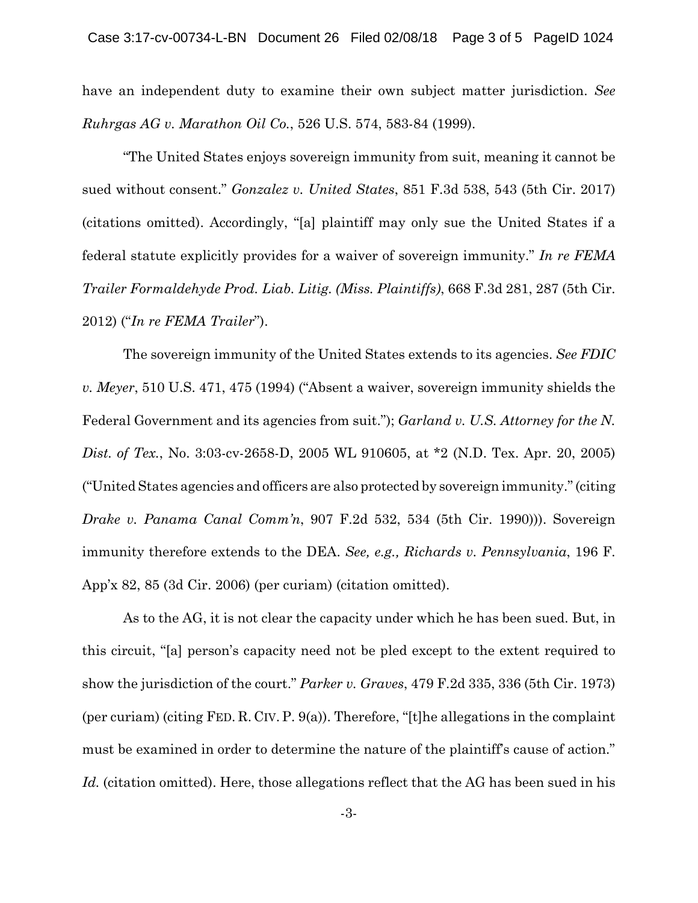have an independent duty to examine their own subject matter jurisdiction. *See Ruhrgas AG v. Marathon Oil Co.*, 526 U.S. 574, 583-84 (1999).

"The United States enjoys sovereign immunity from suit, meaning it cannot be sued without consent." *Gonzalez v. United States*, 851 F.3d 538, 543 (5th Cir. 2017) (citations omitted). Accordingly, "[a] plaintiff may only sue the United States if a federal statute explicitly provides for a waiver of sovereign immunity." *In re FEMA Trailer Formaldehyde Prod. Liab. Litig. (Miss. Plaintiffs)*, 668 F.3d 281, 287 (5th Cir. 2012) ("*In re FEMA Trailer*").

The sovereign immunity of the United States extends to its agencies. *See FDIC v. Meyer*, 510 U.S. 471, 475 (1994) ("Absent a waiver, sovereign immunity shields the Federal Government and its agencies from suit."); *Garland v. U.S. Attorney for the N. Dist. of Tex.*, No. 3:03-cv-2658-D, 2005 WL 910605, at \*2 (N.D. Tex. Apr. 20, 2005) ("United States agencies and officers are also protected by sovereign immunity." (citing *Drake v. Panama Canal Comm'n*, 907 F.2d 532, 534 (5th Cir. 1990))). Sovereign immunity therefore extends to the DEA. *See, e.g., Richards v. Pennsylvania*, 196 F. App'x 82, 85 (3d Cir. 2006) (per curiam) (citation omitted).

As to the AG, it is not clear the capacity under which he has been sued. But, in this circuit, "[a] person's capacity need not be pled except to the extent required to show the jurisdiction of the court." *Parker v. Graves*, 479 F.2d 335, 336 (5th Cir. 1973) (per curiam) (citing FED. R. CIV. P. 9(a)). Therefore, "[t]he allegations in the complaint must be examined in order to determine the nature of the plaintiff's cause of action." *Id.* (citation omitted). Here, those allegations reflect that the AG has been sued in his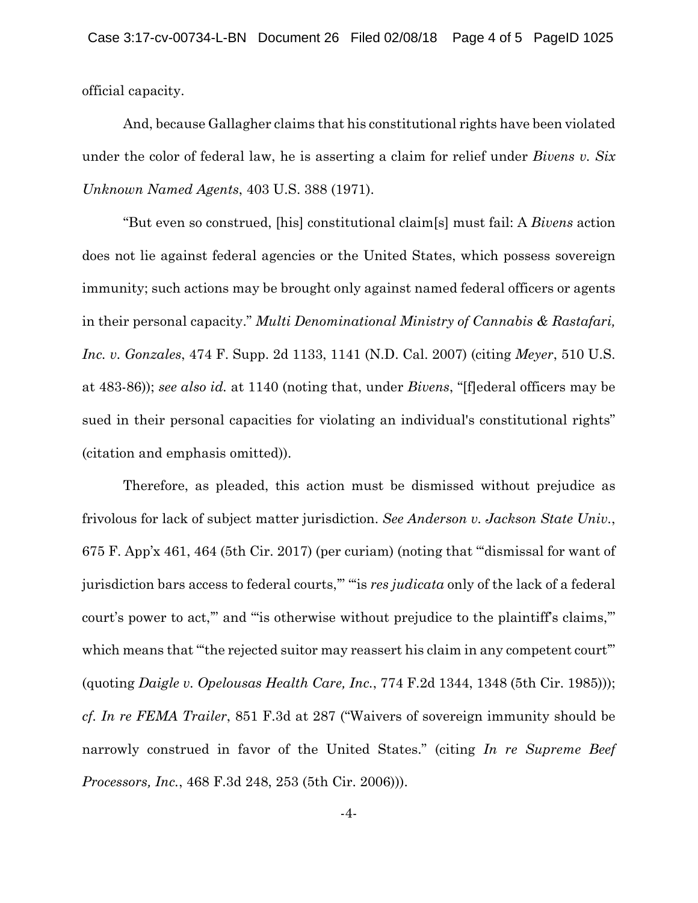official capacity.

And, because Gallagher claims that his constitutional rights have been violated under the color of federal law, he is asserting a claim for relief under *Bivens v. Six Unknown Named Agents*, 403 U.S. 388 (1971).

"But even so construed, [his] constitutional claim[s] must fail: A *Bivens* action does not lie against federal agencies or the United States, which possess sovereign immunity; such actions may be brought only against named federal officers or agents in their personal capacity." *Multi Denominational Ministry of Cannabis & Rastafari, Inc. v. Gonzales*, 474 F. Supp. 2d 1133, 1141 (N.D. Cal. 2007) (citing *Meyer*, 510 U.S. at 483-86)); *see also id.* at 1140 (noting that, under *Bivens*, "[f]ederal officers may be sued in their personal capacities for violating an individual's constitutional rights" (citation and emphasis omitted)).

Therefore, as pleaded, this action must be dismissed without prejudice as frivolous for lack of subject matter jurisdiction. *See Anderson v. Jackson State Univ.*, 675 F. App'x 461, 464 (5th Cir. 2017) (per curiam) (noting that "'dismissal for want of jurisdiction bars access to federal courts,'" "'is *res judicata* only of the lack of a federal court's power to act," and "is otherwise without prejudice to the plaintiff's claims," which means that "the rejected suitor may reassert his claim in any competent court" (quoting *Daigle v. Opelousas Health Care, Inc.*, 774 F.2d 1344, 1348 (5th Cir. 1985))); *cf. In re FEMA Trailer*, 851 F.3d at 287 ("Waivers of sovereign immunity should be narrowly construed in favor of the United States." (citing *In re Supreme Beef Processors, Inc.*, 468 F.3d 248, 253 (5th Cir. 2006))).